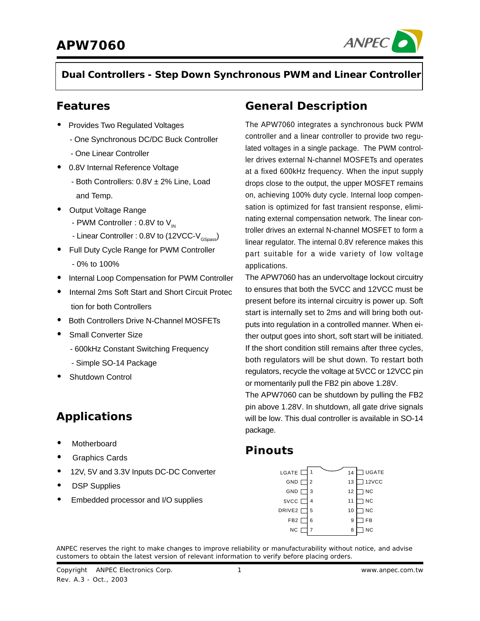

**Dual Controllers - Step Down Synchronous PWM and Linear Controller**

### **Features**

- Provides Two Regulated Voltages
	- One Synchronous DC/DC Buck Controller
	- One Linear Controller
- 0.8V Internal Reference Voltage
	- Both Controllers: 0.8V ± 2% Line, Load and Temp.
- Output Voltage Range
	- PWM Controller : 0.8V to  $V_{\text{IN}}$
	- Linear Controller : 0.8V to (12VCC-V<sub>GSpass</sub>)
- Full Duty Cycle Range for PWM Controller - 0% to 100%
- Internal Loop Compensation for PWM Controller
- Internal 2ms Soft Start and Short Circuit Protec tion for both Controllers
- Both Controllers Drive N-Channel MOSFETs
- **Small Converter Size** 
	- 600kHz Constant Switching Frequency
	- Simple SO-14 Package
- Shutdown Control

## **Applications**

- **Motherboard**
- Graphics Cards
- 12V, 5V and 3.3V Inputs DC-DC Converter
- DSP Supplies
- Embedded processor and I/O supplies

### **General Description**

The APW7060 integrates a synchronous buck PWM controller and a linear controller to provide two regulated voltages in a single package. The PWM controller drives external N-channel MOSFETs and operates at a fixed 600kHz frequency. When the input supply drops close to the output, the upper MOSFET remains on, achieving 100% duty cycle. Internal loop compensation is optimized for fast transient response, eliminating external compensation network. The linear controller drives an external N-channel MOSFET to form a linear regulator. The internal 0.8V reference makes this part suitable for a wide variety of low voltage applications.

The APW7060 has an undervoltage lockout circuitry to ensures that both the 5VCC and 12VCC must be present before its internal circuitry is power up. Soft start is internally set to 2ms and will bring both outputs into regulation in a controlled manner. When either output goes into short, soft start will be initiated. If the short condition still remains after three cycles, both regulators will be shut down. To restart both regulators, recycle the voltage at 5VCC or 12VCC pin or momentarily pull the FB2 pin above 1.28V.

The APW7060 can be shutdown by pulling the FB2 pin above 1.28V. In shutdown, all gate drive signals will be low. This dual controller is available in SO-14 package.

### **Pinouts**

| LGATE [            | 1 | 14 | <b>UGATE</b> |
|--------------------|---|----|--------------|
| GND                | 2 | 13 | 12VCC        |
| GND                | 3 | 12 | <b>NC</b>    |
| 5VCC               | 4 | 11 | <b>NC</b>    |
| DRIVE <sub>2</sub> | 5 | 10 | NC           |
| FB <sub>2</sub>    | 6 | 9  | FB           |
| ΝC                 | 7 | 8  | NC.          |

ANPEC reserves the right to make changes to improve reliability or manufacturability without notice, and advise customers to obtain the latest version of relevant information to verify before placing orders.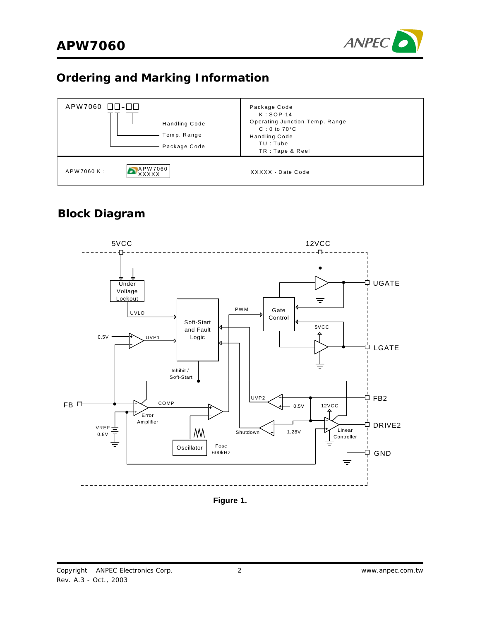

## **Ordering and Marking Information**



### **Block Diagram**



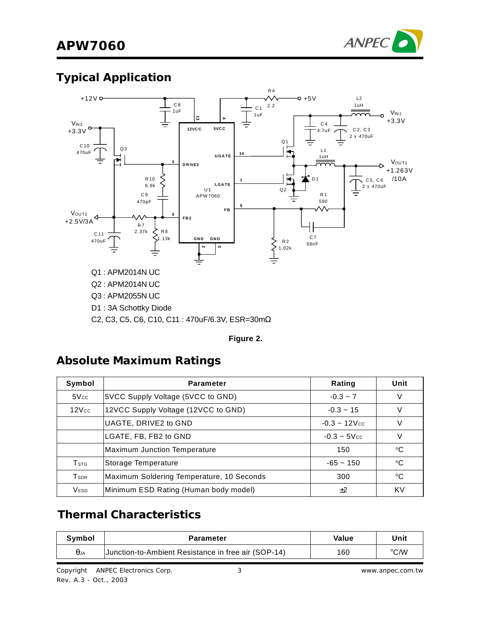

# **Typical Application**



#### **Figure 2.**

### **Absolute Maximum Ratings**

| Symbol                      | <b>Parameter</b>                          | Rating                      | Unit        |
|-----------------------------|-------------------------------------------|-----------------------------|-------------|
| 5Vec                        | SVCC Supply Voltage (5VCC to GND)         | $-0.3 - 7$                  | $\vee$      |
| $12$ $Vcc$                  | 12VCC Supply Voltage (12VCC to GND)       | $-0.3 - 15$                 |             |
|                             | UAGTE, DRIVE2 to GND                      | $-0.3 - 12$ V <sub>cc</sub> |             |
|                             | LGATE, FB, FB2 to GND                     | $-0.3 - 5$ V <sub>cc</sub>  | V           |
|                             | <b>Maximum Junction Temperature</b>       | 150                         | °C          |
| $\mathsf{T}_{\texttt{STG}}$ | Storage Temperature                       | $-65 - 150$                 | $^{\circ}C$ |
| T <sub>SDR</sub>            | Maximum Soldering Temperature, 10 Seconds | 300                         | °C          |
| <b>VESD</b>                 | Minimum ESD Rating (Human body model)     | ±2                          | KV          |

## **Thermal Characteristics**

| Svmbol      | Parameter                                           | Value | Unit |
|-------------|-----------------------------------------------------|-------|------|
| $\theta$ JA | Junction-to-Ambient Resistance in free air (SOP-14) | 160   | ℃/W  |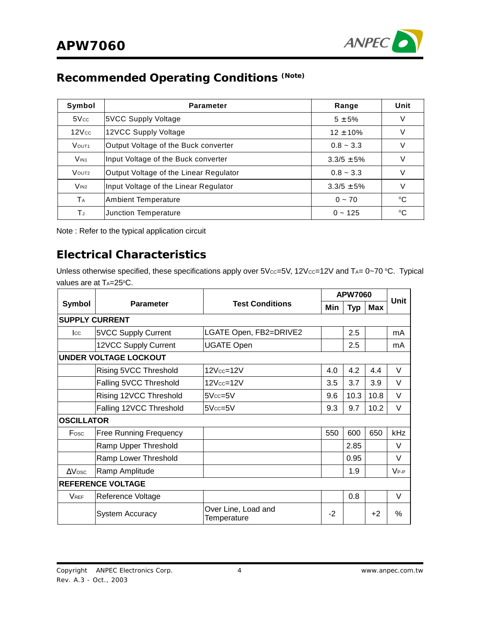

# **Recommended Operating Conditions (Note)**

| Symbol            | <b>Parameter</b>                       | Range          | Unit        |
|-------------------|----------------------------------------|----------------|-------------|
| 5Vec              | 5VCC Supply Voltage                    | $5 + 5%$       | V           |
| 12Vec             | 12VCC Supply Voltage                   | $12 \pm 10\%$  | V           |
| VOUT <sub>1</sub> | Output Voltage of the Buck converter   | $0.8 - 3.3$    | V           |
| V <sub>IN1</sub>  | Input Voltage of the Buck converter    | $3.3/5 \pm 5%$ | V           |
| VOUT <sub>2</sub> | Output Voltage of the Linear Regulator | $0.8 - 3.3$    | V           |
| V <sub>IN2</sub>  | Input Voltage of the Linear Regulator  | $3.3/5 \pm 5%$ | V           |
| TA                | <b>Ambient Temperature</b>             | $0 \sim 70$    | °C          |
| TJ                | Junction Temperature                   | $0 - 125$      | $^{\circ}C$ |

Note : Refer to the typical application circuit

### **Electrical Characteristics**

Unless otherwise specified, these specifications apply over  $5$ V $cc=5$ V, 12V $cc=12$ V and T<sub>A</sub>= 0~70 °C. Typical values are at TA=25°C.

|                   |                               |                                    |      | <b>APW7060</b> |      |           |
|-------------------|-------------------------------|------------------------------------|------|----------------|------|-----------|
| Symbol            | <b>Parameter</b>              | <b>Test Conditions</b>             | Min  | <b>Typ</b>     | Max  | Unit      |
|                   | <b>SUPPLY CURRENT</b>         |                                    |      |                |      |           |
| $_{\rm lcc}$      | 5VCC Supply Current           | LGATE Open, FB2=DRIVE2             |      | 2.5            |      | mA        |
|                   | 12VCC Supply Current          | <b>UGATE Open</b>                  |      | 2.5            |      | mA        |
|                   | <b>UNDER VOLTAGE LOCKOUT</b>  |                                    |      |                |      |           |
|                   | Rising 5VCC Threshold         | 12Vcc=12V                          | 4.0  | 4.2            | 4.4  | V         |
|                   | Falling 5VCC Threshold        | 12Vcc=12V                          | 3.5  | 3.7            | 3.9  | V         |
|                   | Rising 12VCC Threshold        | $5Vec=5V$                          | 9.6  | 10.3           | 10.8 | V         |
|                   | Falling 12VCC Threshold       | $5Vcc = 5V$                        | 9.3  | 9.7            | 10.2 | V         |
| <b>OSCILLATOR</b> |                               |                                    |      |                |      |           |
| Fosc              | <b>Free Running Frequency</b> |                                    | 550  | 600            | 650  | kHz       |
|                   | Ramp Upper Threshold          |                                    |      | 2.85           |      | V         |
|                   | Ramp Lower Threshold          |                                    |      | 0.95           |      | V         |
| $\Delta$ Vosc     | Ramp Amplitude                |                                    |      | 1.9            |      | $V_{P-P}$ |
|                   | <b>REFERENCE VOLTAGE</b>      |                                    |      |                |      |           |
| <b>VREF</b>       | Reference Voltage             |                                    |      | 0.8            |      | V         |
|                   | <b>System Accuracy</b>        | Over Line, Load and<br>Temperature | $-2$ |                | $+2$ | %         |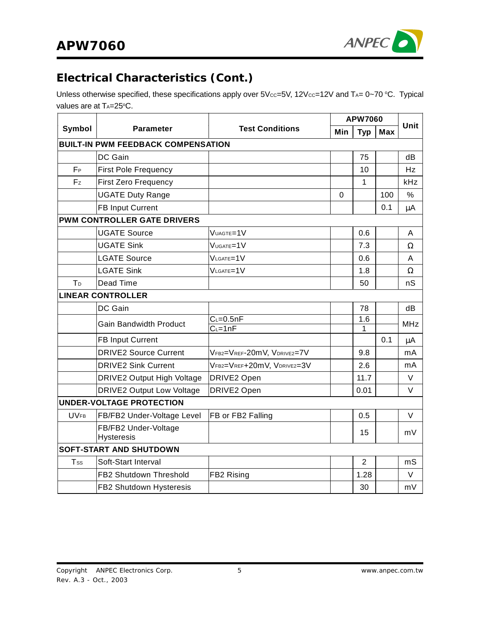

# **Electrical Characteristics (Cont.)**

Unless otherwise specified, these specifications apply over  $5V_{CC} = 5V$ ,  $12V_{CC} = 12V$  and  $T_{A} = 0 \sim 70$  °C. Typical values are at TA=25°C.

|                |                                           |                            | <b>APW7060</b> |                |     | Unit       |
|----------------|-------------------------------------------|----------------------------|----------------|----------------|-----|------------|
| Symbol         | <b>Parameter</b>                          | <b>Test Conditions</b>     | Min            | <b>Typ</b>     | Max |            |
|                | <b>BUILT-IN PWM FEEDBACK COMPENSATION</b> |                            |                |                |     |            |
|                | DC Gain                                   |                            |                | 75             |     | dB         |
| $F_{P}$        | <b>First Pole Frequency</b>               |                            |                | 10             |     | Hz         |
| Fz             | <b>First Zero Frequency</b>               |                            |                | $\mathbf{1}$   |     | kHz        |
|                | <b>UGATE Duty Range</b>                   |                            | 0              |                | 100 | $\%$       |
|                | <b>FB Input Current</b>                   |                            |                |                | 0.1 | $\mu$ A    |
|                | <b>PWM CONTROLLER GATE DRIVERS</b>        |                            |                |                |     |            |
|                | <b>UGATE Source</b>                       | VUAGTE=1V                  |                | 0.6            |     | Α          |
|                | <b>UGATE Sink</b>                         | VUGATE=1V                  |                | 7.3            |     | Ω          |
|                | <b>LGATE Source</b>                       | VLGATE=1V                  |                | 0.6            |     | A          |
|                | <b>LGATE Sink</b>                         | VLGATE=1V                  |                | 1.8            |     | Ω          |
| T <sub>D</sub> | Dead Time                                 |                            |                | 50             |     | nS         |
|                | <b>LINEAR CONTROLLER</b>                  |                            |                |                |     |            |
|                | DC Gain                                   |                            |                | 78             |     | dB         |
|                | <b>Gain Bandwidth Product</b>             | $C_L = 0.5nF$              |                | 1.6            |     | <b>MHz</b> |
|                |                                           | $C_{L} = 1nF$              |                | 1              | 0.1 |            |
|                | <b>FB Input Current</b>                   |                            |                |                |     | μA         |
|                | <b>DRIVE2 Source Current</b>              | VFB2=VREF-20mV, VDRIVE2=7V |                | 9.8            |     | mA         |
|                | <b>DRIVE2 Sink Current</b>                | VFB2=VREF+20mV, VDRIVE2=3V |                | 2.6            |     | mA         |
|                | DRIVE2 Output High Voltage                | DRIVE2 Open                |                | 11.7           |     | $\vee$     |
|                | <b>DRIVE2 Output Low Voltage</b>          | DRIVE2 Open                |                | 0.01           |     | V          |
|                | <b>UNDER-VOLTAGE PROTECTION</b>           |                            |                |                |     |            |
| <b>UVFB</b>    | FB/FB2 Under-Voltage Level                | FB or FB2 Falling          |                | 0.5            |     | V          |
|                | FB/FB2 Under-Voltage<br><b>Hysteresis</b> |                            |                | 15             |     | mV         |
|                | <b>SOFT-START AND SHUTDOWN</b>            |                            |                |                |     |            |
| Tss            | Soft-Start Interval                       |                            |                | $\overline{2}$ |     | mS         |
|                | FB2 Shutdown Threshold                    | FB2 Rising                 |                | 1.28           |     | V          |
|                | FB2 Shutdown Hysteresis                   |                            |                | 30             |     | mV         |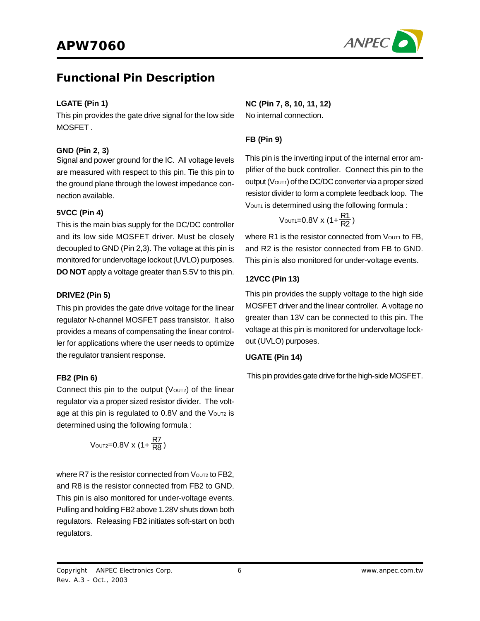

### **Functional Pin Description**

#### **LGATE (Pin 1)**

This pin provides the gate drive signal for the low side **MOSFFT** 

#### **GND (Pin 2, 3)**

Signal and power ground for the IC. All voltage levels are measured with respect to this pin. Tie this pin to the ground plane through the lowest impedance connection available.

#### **5VCC (Pin 4)**

This is the main bias supply for the DC/DC controller and its low side MOSFET driver. Must be closely decoupled to GND (Pin 2,3). The voltage at this pin is monitored for undervoltage lockout (UVLO) purposes. **DO NOT** apply a voltage greater than 5.5V to this pin.

#### **DRIVE2 (Pin 5)**

This pin provides the gate drive voltage for the linear regulator N-channel MOSFET pass transistor. It also provides a means of compensating the linear controller for applications where the user needs to optimize the regulator transient response.

#### **FB2 (Pin 6)**

Connect this pin to the output ( $V$ OUT2) of the linear regulator via a proper sized resistor divider. The voltage at this pin is regulated to 0.8V and the Voutz is determined using the following formula :

$$
V_{\text{OUT2}=0.8V} \times (1+\frac{R7}{R8})
$$

where  $R7$  is the resistor connected from  $V_{\text{OUT2}}$  to  $FB2$ . and R8 is the resistor connected from FB2 to GND. This pin is also monitored for under-voltage events. Pulling and holding FB2 above 1.28V shuts down both regulators. Releasing FB2 initiates soft-start on both regulators.

**NC (Pin 7, 8, 10, 11, 12)** No internal connection.

### **FB (Pin 9)**

This pin is the inverting input of the internal error amplifier of the buck controller. Connect this pin to the output (Vout1) of the DC/DC converter via a proper sized resistor divider to form a complete feedback loop. The VOUT1 is determined using the following formula :

$$
V_{\text{OUT1}} = 0.8V \times (1 + \frac{R1}{R2})
$$

where R1 is the resistor connected from  $V<sub>OUT1</sub>$  to FB, and R2 is the resistor connected from FB to GND. This pin is also monitored for under-voltage events.

### **12VCC (Pin 13)**

This pin provides the supply voltage to the high side MOSFET driver and the linear controller. A voltage no greater than 13V can be connected to this pin. The voltage at this pin is monitored for undervoltage lockout (UVLO) purposes.

#### **UGATE (Pin 14)**

This pin provides gate drive for the high-side MOSFET.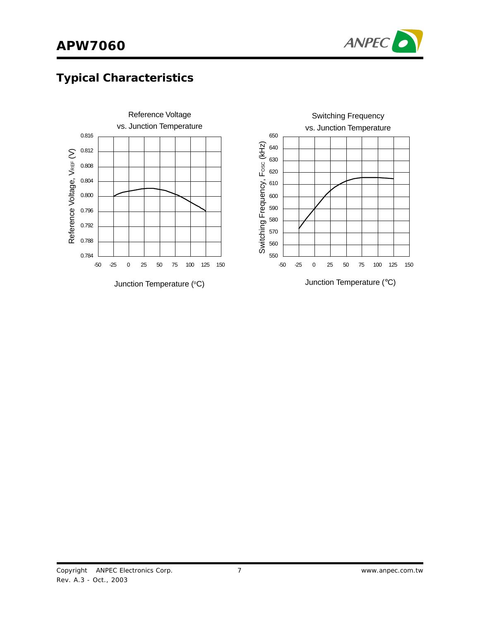

# **Typical Characteristics**

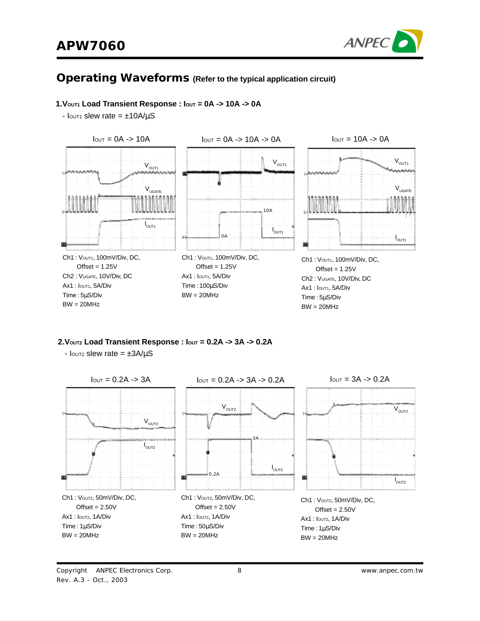

### **Operating Waveforms (Refer to the typical application circuit)**

#### **1.VOUT1 Load Transient Response : IOUT = 0A -> 10A -> 0A**

 $I_{\text{OUT1}}$  slew rate =  $\pm 10A/\mu S$ 



**2.VOUT2 Load Transient Response : IOUT = 0.2A -> 3A -> 0.2A**

 $I_{\text{OUT2}}$  slew rate =  $\pm 3A/\mu S$ 

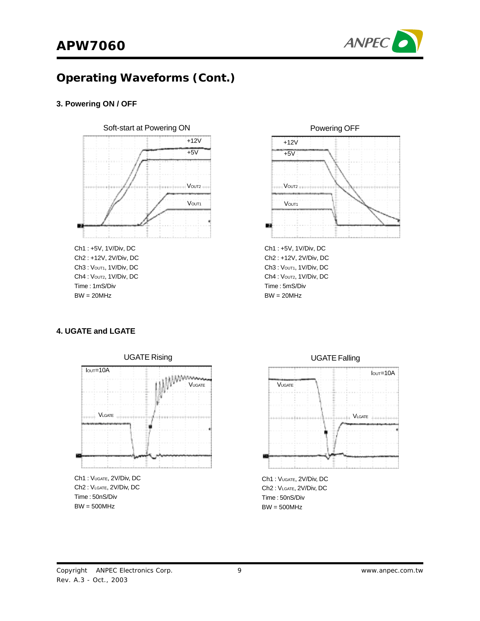

# **Operating Waveforms (Cont.)**

#### **3. Powering ON / OFF**



Ch2 : +12V, 2V/Div, DC Ch3: Vout1, 1V/Div, DC Ch4 : Voutz, 1V/Div, DC Time : 1mS/Div  $BW = 20MHz$ 



Ch2 : +12V, 2V/Div, DC Ch3: Vout1, 1V/Div, DC Ch4 : Voutz, 1V/Div, DC Time : 5mS/Div  $BW = 20MHz$ 

#### **4. UGATE and LGATE**



Ch2 : VLGATE, 2V/Div, DC Time : 50nS/Div  $BW = 500MHz$ 



Ch1 : VUGATE, 2V/Div, DC Ch2 : VLGATE, 2V/Div, DC Time : 50nS/Div BW = 500MHz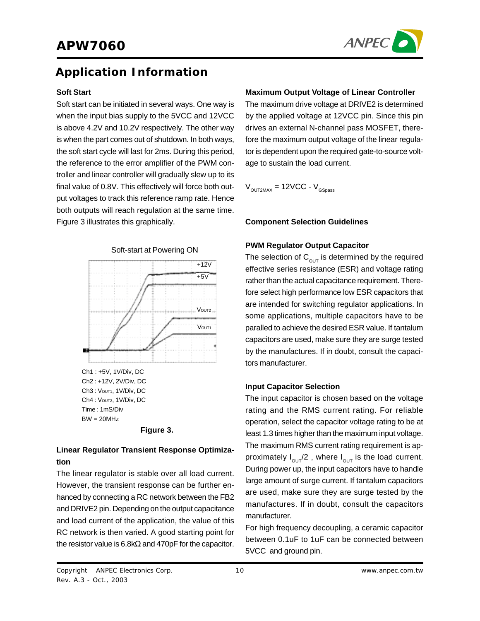

### **Application Information**

#### **Soft Start**

Soft start can be initiated in several ways. One way is when the input bias supply to the 5VCC and 12VCC is above 4.2V and 10.2V respectively. The other way is when the part comes out of shutdown. In both ways, the soft start cycle will last for 2ms. During this period, the reference to the error amplifier of the PWM controller and linear controller will gradually slew up to its final value of 0.8V. This effectively will force both output voltages to track this reference ramp rate. Hence both outputs will reach regulation at the same time. Figure 3 illustrates this graphically.





### **Linear Regulator Transient Response Optimization**

The linear regulator is stable over all load current. However, the transient response can be further enhanced by connecting a RC network between the FB2 and DRIVE2 pin. Depending on the output capacitance and load current of the application, the value of this RC network is then varied. A good starting point for the resistor value is 6.8kΩ and 470pF for the capacitor.

#### **Maximum Output Voltage of Linear Controller**

The maximum drive voltage at DRIVE2 is determined by the applied voltage at 12VCC pin. Since this pin drives an external N-channel pass MOSFET, therefore the maximum output voltage of the linear regulator is dependent upon the required gate-to-source voltage to sustain the load current.

 $V_{\text{OUT2MAX}} = 12 \text{VCC} - V_{\text{GSness}}$ 

#### **Component Selection Guidelines**

#### **PWM Regulator Output Capacitor**

The selection of  $C_{\text{out}}$  is determined by the required effective series resistance (ESR) and voltage rating rather than the actual capacitance requirement. Therefore select high performance low ESR capacitors that are intended for switching regulator applications. In some applications, multiple capacitors have to be paralled to achieve the desired ESR value. If tantalum capacitors are used, make sure they are surge tested by the manufactures. If in doubt, consult the capacitors manufacturer.

#### **Input Capacitor Selection**

The input capacitor is chosen based on the voltage rating and the RMS current rating. For reliable operation, select the capacitor voltage rating to be at least 1.3 times higher than the maximum input voltage. The maximum RMS current rating requirement is approximately  $I_{\text{out}}/2$ , where  $I_{\text{out}}$  is the load current. During power up, the input capacitors have to handle large amount of surge current. If tantalum capacitors are used, make sure they are surge tested by the manufactures. If in doubt, consult the capacitors manufacturer.

For high frequency decoupling, a ceramic capacitor between 0.1uF to 1uF can be connected between 5VCC and ground pin.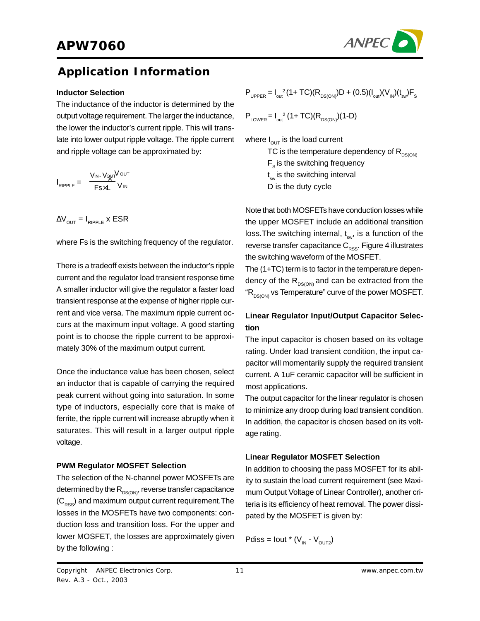

### **Application Information**

#### **Inductor Selection**

The inductance of the inductor is determined by the output voltage requirement. The larger the inductance, the lower the inductor's current ripple. This will translate into lower output ripple voltage. The ripple current and ripple voltage can be approximated by:

$$
I_{RIPPLE} = \frac{V_{IN} \cdot V_{QUT} V_{OUT}}{F_{S} \times L} V_{IN}
$$

 $\Delta V_{\text{OUT}} = I_{\text{RIPPI E}}$  x ESR

where Fs is the switching frequency of the regulator.

There is a tradeoff exists between the inductor's ripple current and the regulator load transient response time A smaller inductor will give the regulator a faster load transient response at the expense of higher ripple current and vice versa. The maximum ripple current occurs at the maximum input voltage. A good starting point is to choose the ripple current to be approximately 30% of the maximum output current.

Once the inductance value has been chosen, select an inductor that is capable of carrying the required peak current without going into saturation. In some type of inductors, especially core that is make of ferrite, the ripple current will increase abruptly when it saturates. This will result in a larger output ripple voltage.

#### **PWM Regulator MOSFET Selection**

The selection of the N-channel power MOSFETs are determined by the  $R_{DS(ON)}$ , reverse transfer capacitance  $(C_{\text{pss}})$  and maximum output current requirement. The losses in the MOSFETs have two components: conduction loss and transition loss. For the upper and lower MOSFET, the losses are approximately given by the following :

$$
P_{\text{UPPER}} = I_{\text{out}}^2 (1 + TC)(R_{\text{DS(ON)}})D + (0.5)(I_{\text{out}})(V_{\text{IN}})(t_{\text{sw}})F_{\text{S}}
$$

 $P_{\text{LOWER}} = I_{\text{out}}^2 (1 + TC)(R_{\text{DS(ON)}})(1-D)$ 

where  $I_{\text{OUT}}$  is the load current

TC is the temperature dependency of  $R_{\text{DSCON}}$  $F_s$  is the switching frequency

t<sub>sw</sub> is the switching interval

D is the duty cycle

Note that both MOSFETs have conduction losses while the upper MOSFET include an additional transition loss. The switching internal,  $t_{sw}$ , is a function of the reverse transfer capacitance  $C_{\rm{RSS}}$ . Figure 4 illustrates the switching waveform of the MOSFET.

The (1+TC) term is to factor in the temperature dependency of the  $R_{DS(OM)}$  and can be extracted from the " $R_{DS(ON)}$  vs Temperature" curve of the power MOSFET.

### **Linear Regulator Input/Output Capacitor Selection**

The input capacitor is chosen based on its voltage rating. Under load transient condition, the input capacitor will momentarily supply the required transient current. A 1uF ceramic capacitor will be sufficient in most applications.

The output capacitor for the linear regulator is chosen to minimize any droop during load transient condition. In addition, the capacitor is chosen based on its voltage rating.

### **Linear Regulator MOSFET Selection**

In addition to choosing the pass MOSFET for its ability to sustain the load current requirement (see Maximum Output Voltage of Linear Controller), another criteria is its efficiency of heat removal. The power dissipated by the MOSFET is given by:

Pdiss = lout \*  $(V_{in} - V_{out2})$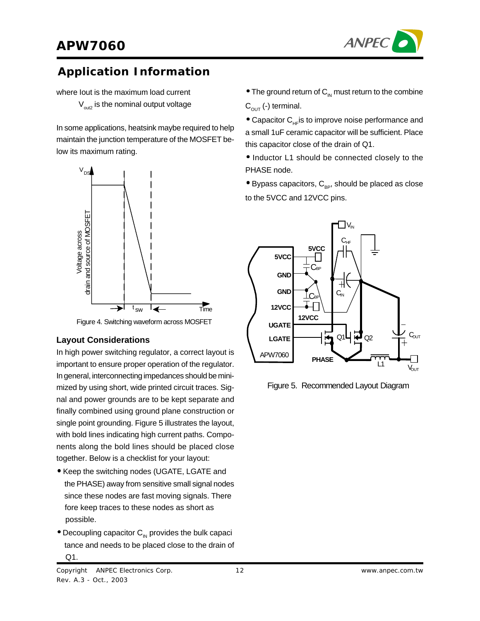

## **Application Information**

where Iout is the maximum load current  $V_{\text{out}}$  is the nominal output voltage

In some applications, heatsink maybe required to help maintain the junction temperature of the MOSFET below its maximum rating.



Figure 4. Switching waveform across MOSFET

### **Layout Considerations**

In high power switching regulator, a correct layout is important to ensure proper operation of the regulator. In general, interconnecting impedances should be minimized by using short, wide printed circuit traces. Signal and power grounds are to be kept separate and finally combined using ground plane construction or single point grounding. Figure 5 illustrates the layout, with bold lines indicating high current paths. Components along the bold lines should be placed close together. Below is a checklist for your layout:

- Keep the switching nodes (UGATE, LGATE and the PHASE) away from sensitive small signal nodes since these nodes are fast moving signals. There fore keep traces to these nodes as short as possible.
- $\bullet$  Decoupling capacitor  $C_{\text{IN}}$  provides the bulk capaci tance and needs to be placed close to the drain of Q1.
- $\bullet$  The ground return of  $C_{\text{IN}}$  must return to the combine  $C_{\text{OUT}}$  (-) terminal.
- $\bullet$  Capacitor C<sub>HF</sub> is to improve noise performance and a small 1uF ceramic capacitor will be sufficient. Place this capacitor close of the drain of Q1.

• Inductor L1 should be connected closely to the PHASE node.

 $\bullet$  Bypass capacitors,  $C_{\text{BP}}$ , should be placed as close to the 5VCC and 12VCC pins.



Figure 5. Recommended Layout Diagram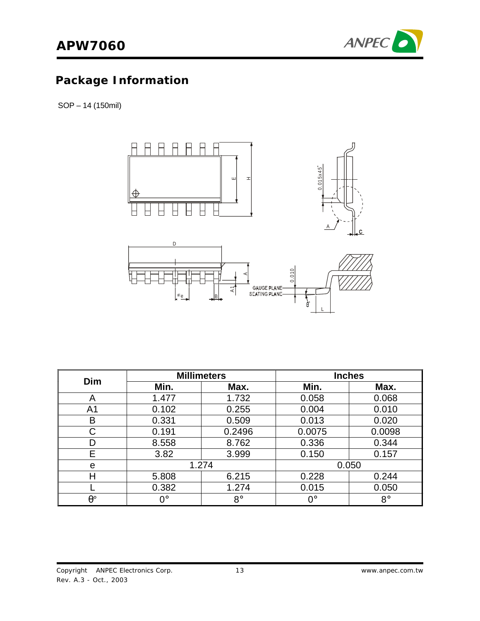

# **Package Information**

SOP – 14 (150mil)



| <b>Dim</b>       |       | <b>Millimeters</b> | <b>Inches</b>    |             |  |
|------------------|-------|--------------------|------------------|-------------|--|
|                  | Min.  | Max.               | Min.             | Max.        |  |
| Α                | 1.477 | 1.732              | 0.058            | 0.068       |  |
| A <sub>1</sub>   | 0.102 | 0.255              | 0.004            | 0.010       |  |
| В                | 0.331 | 0.509              | 0.013            | 0.020       |  |
| С                | 0.191 | 0.2496             | 0.0075           | 0.0098      |  |
| D                | 8.558 | 8.762              | 0.336            | 0.344       |  |
| F                | 3.82  | 3.999              | 0.150            | 0.157       |  |
| е                | 1.274 |                    |                  | 0.050       |  |
|                  | 5.808 | 6.215              | 0.228            | 0.244       |  |
|                  | 0.382 | 1.274              | 0.015            | 0.050       |  |
| $\theta^{\circ}$ | ∩°    | $8^{\circ}$        | $\Omega^{\circ}$ | $8^{\circ}$ |  |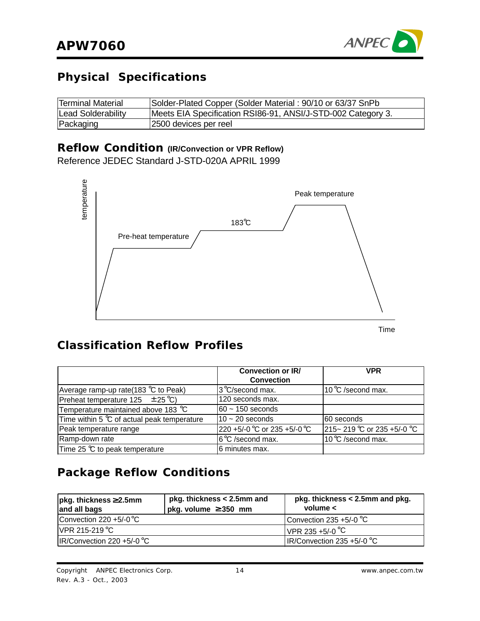

# **Physical Specifications**

| Terminal Material  | Solder-Plated Copper (Solder Material: 90/10 or 63/37 SnPb   |
|--------------------|--------------------------------------------------------------|
| Lead Solderability | Meets EIA Specification RSI86-91, ANSI/J-STD-002 Category 3. |
| Packaging          | 2500 devices per reel                                        |

# **Reflow Condition (IR/Convection or VPR Reflow)**

Reference JEDEC Standard J-STD-020A APRIL 1999



Time

### **Classification Reflow Profiles**

|                                               | <b>Convection or IR/</b>     | <b>VPR</b>                     |
|-----------------------------------------------|------------------------------|--------------------------------|
|                                               | <b>Convection</b>            |                                |
| Average ramp-up rate(183 $\degree$ C to Peak) | 3°C/second max.              | 10 °C /second max.             |
| Preheat temperature $125 \pm 25^{\circ}$ C)   | 120 seconds max.             |                                |
| Temperature maintained above 183 °C           | 160 ~ 150 seconds            |                                |
| Time within 5 °C of actual peak temperature   | $10 - 20$ seconds            | 160 seconds                    |
| Peak temperature range                        | 220 +5/-0 °C or 235 +5/-0 °C | $215 - 219$ °C or 235 +5/-0 °C |
| Ramp-down rate                                | 6°C /second max.             | 10 °C /second max.             |
| Time 25 °C to peak temperature                | 6 minutes max.               |                                |

# **Package Reflow Conditions**

| $pkg.$ thickness $\geq$ 2.5mm<br>and all bags | pkg. thickness < 2.5mm and<br>pkg. volume $\geq$ 350 mm | pkg. thickness < 2.5mm and pkg.<br>volume $\lt$ |
|-----------------------------------------------|---------------------------------------------------------|-------------------------------------------------|
| Convection 220 $+5/-0$ °C                     |                                                         | Convection 235 +5/-0 $\degree$ C                |
| $IVPR$ 215-219 °C                             |                                                         | VPR 235 +5/-0 $^{\circ}$ C                      |
| $IR/Convection 220 +5/-0 °C$                  |                                                         | IR/Convection 235 +5/-0 $\degree$ C             |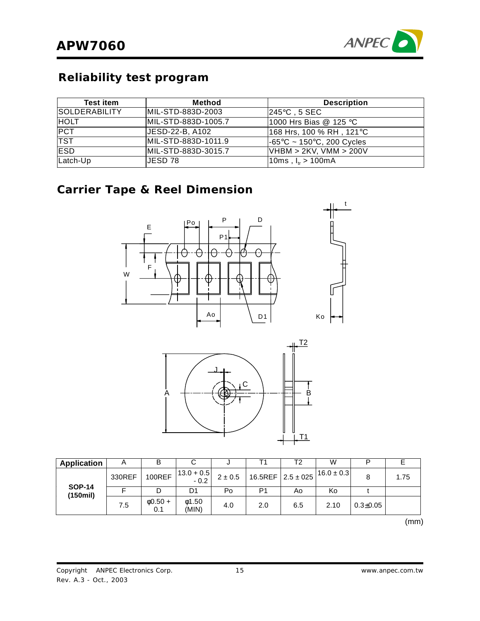

# **Reliability test program**

| <b>Test item</b>     | Method              | <b>Description</b>                             |
|----------------------|---------------------|------------------------------------------------|
| <b>SOLDERABILITY</b> | MIL-STD-883D-2003   | 245°C , 5 SEC                                  |
| <b>HOLT</b>          | MIL-STD-883D-1005.7 | 1000 Hrs Bias @ 125 °C                         |
| <b>PCT</b>           | JESD-22-B, A102     | 168 Hrs, 100 % RH , 121°C                      |
| <b>TST</b>           | MIL-STD-883D-1011.9 | $-65^{\circ}$ C ~ 150 $^{\circ}$ C, 200 Cycles |
| <b>IESD</b>          | MIL-STD-883D-3015.7 | VHBM > 2KV, VMM > 200V                         |
| Latch-Up             | IJESD 78.           | 10ms, $I_{ir} > 100$ mA                        |

### **Carrier Tape & Reel Dimension**





| Application                  | A      | B                    |                          | u         |     | Т2                       | W              |                |      |
|------------------------------|--------|----------------------|--------------------------|-----------|-----|--------------------------|----------------|----------------|------|
|                              | 330REF | <b>100REF</b>        | $ 13.0 + 0.5 $<br>$-0.2$ | $2\pm0.5$ |     | 16.5REF $ 2.5 \pm 0.25 $ | $16.0 \pm 0.3$ | 8              | 1.75 |
| <b>SOP-14</b><br>$(150$ mil) |        |                      | D1                       | Po        | P1  | A٥                       | Ko             |                |      |
|                              | 7.5    | $\phi$ 0.50 +<br>0.1 | 01.50<br>(MIN)           | 4.0       | 2.0 | 6.5                      | 2.10           | $0.3 \pm 0.05$ |      |

 $\sim$  (mm)  $\sim$  (mm)